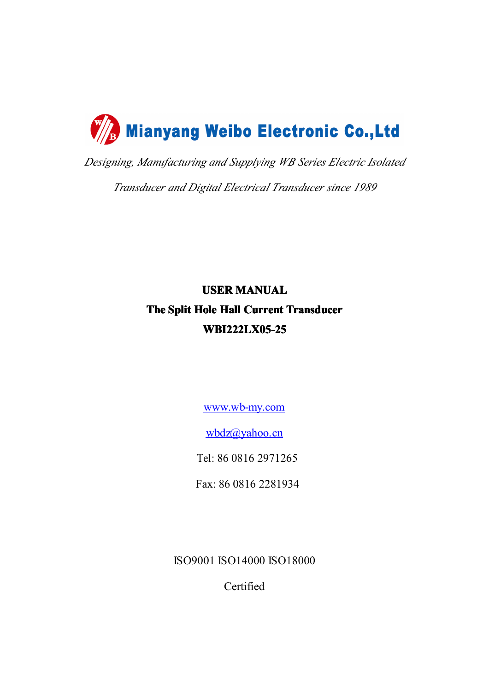

*Designing, Manufacturing and Supplying WB Series Electric Isolated*

*Transducer and Digital Electrical Transducer since 1989*

# **USER MANUAL The Split Hole Hall Current Current Current Transducer Transducer WBI222LX05-25**

[www.wb-my.com](http://www.wb-my.com)

[wbdz@yahoo.cn](mailto:wbdz@yahoo.cn)

Tel: 86 0816 2971265

Fax: 86 0816 2281934

ISO9001 ISO14000 ISO18000

Certified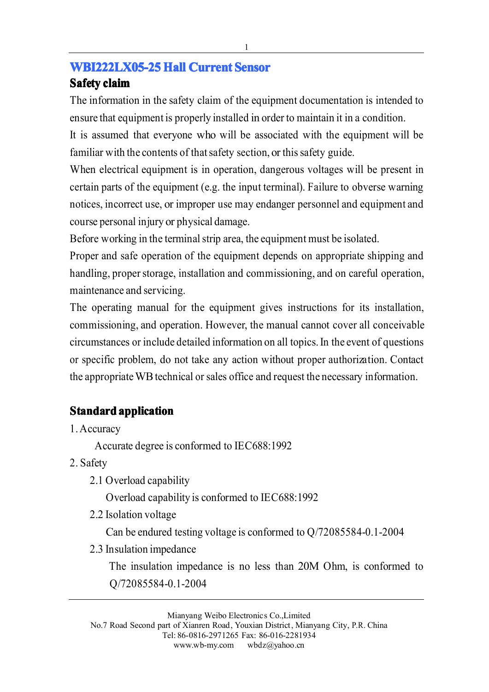#### **WBI222LX05-25 Hall Current Sensor**

#### **Safety claim**

The information in the safety claim of the equipment documentation is intended to ensure that equipment is properly installed in order to maintain it in <sup>a</sup> condition.

It is assumed that everyone who will be associated with the equipment will be familiar with the contents of that safety section, or this safety guide.

When electrical equipment is in operation, dangerous voltages will be present in certain parts of the equipment (e.g. the input terminal). Failure to obverse warning notices, incorrect use, or improper use may endanger personnel and equipment and course personal injury or physical damage.

Before working in the terminal strip area, the equipment must be isolated.

Proper and safe operation of the equipment depends on appropriate shipping and handling, proper storage, installation and commissioning, and on careful operation, maintenance and servicing.

The operating manual for the equipment gives instructions for its installation, commissioning, and operation. However, the manual cannot cover all conceivable circumstances or include detailed information on all topics.In the event of questions or specific problem, do not take any action without proper authorization. Contact the appropriate WB technical or sales office and request the necessary information.

## **Standard application**

1.Accuracy

Accurate degree is conformed to IEC688:1992

- 2. Safety
	- 2.1 Overload capability

Overload capability is conformed to IEC688:1992

2.2 Isolation voltage

Can be endured testing voltage is conformed to Q/72085584-0.1-2004

2.3 Insulation impedance

The insulation impedance is no less than 20M Ohm, is conformed to Q/72085584-0.1-2004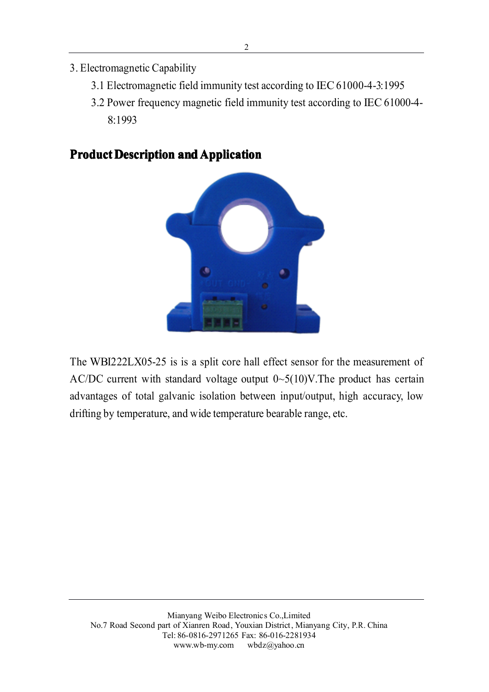- 3. Electromagnetic Capability
	- 3.1 Electromagnetic field immunity test according to IEC61000-4-3:1995
	- 3.2 Power frequency magnetic field immunity test according to IEC 61000-4- 8:1993

### **Product Description and Application**



The WBI222LX05-25 is is <sup>a</sup> split core hall effect sensor for the measurement of AC/DC current with standard voltage output  $0 \sim 5(10)$ V. The product has certain advantages of total galvanic isolation between input/output, high accuracy, low drifting by temperature, and wide temperature bearable range, etc.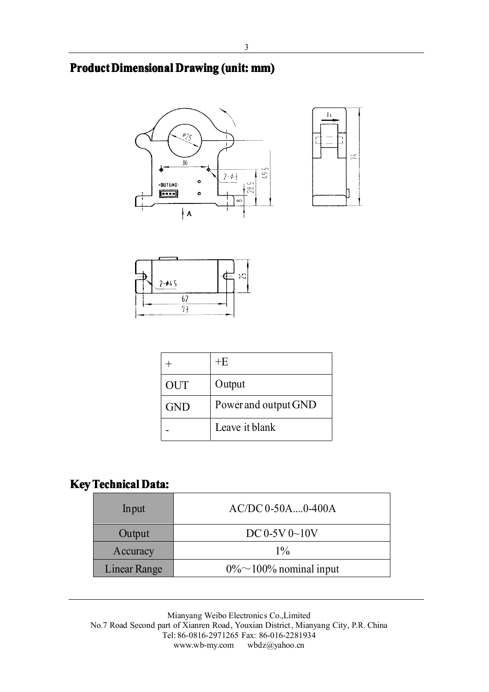### **Product Dimensional Drawing (unit: mm)**







|            | +Ε                   |
|------------|----------------------|
| <b>OUT</b> | Output               |
| <b>GND</b> | Power and output GND |
|            | Leave it blank       |

### **Key Technical Data:**

| Input        | $AC/DC 0-50A$ $0-400A$         |
|--------------|--------------------------------|
| Output       | $DC 0-5V 0-10V$                |
| Accuracy     | $1\%$                          |
| Linear Range | $0\% \sim 100\%$ nominal input |

Mianyang Weibo Electronics Co.,Limited No.7 Road Second part of Xianren Road, Youxian District, Mianyang City, P.R. China Tel: 86-0816-2971265 Fax: 86-016-2281934 www.wb-my.com wbdz@yahoo.cn